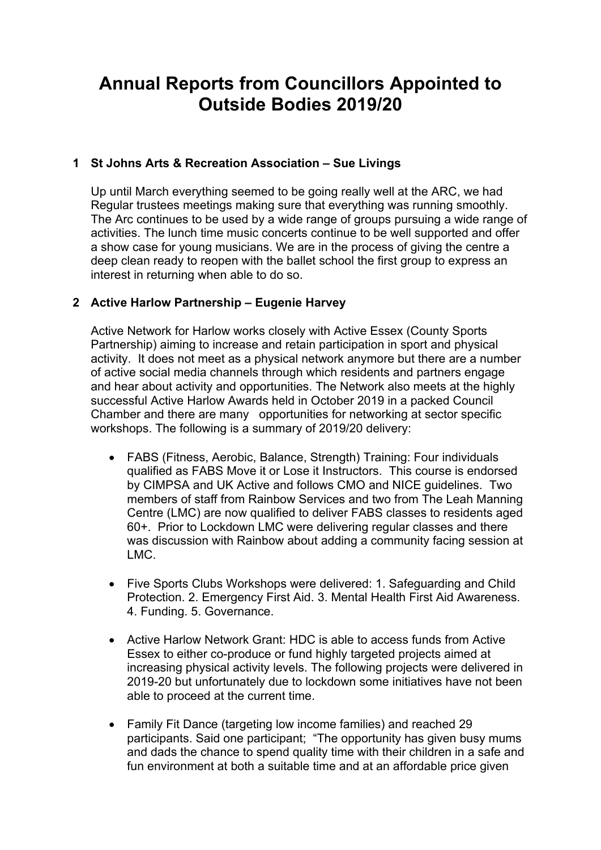# **Annual Reports from Councillors Appointed to Outside Bodies 2019/20**

## **1 St Johns Arts & Recreation Association – Sue Livings**

Up until March everything seemed to be going really well at the ARC, we had Regular trustees meetings making sure that everything was running smoothly. The Arc continues to be used by a wide range of groups pursuing a wide range of activities. The lunch time music concerts continue to be well supported and offer a show case for young musicians. We are in the process of giving the centre a deep clean ready to reopen with the ballet school the first group to express an interest in returning when able to do so.

### **2 Active Harlow Partnership – Eugenie Harvey**

Active Network for Harlow works closely with Active Essex (County Sports Partnership) aiming to increase and retain participation in sport and physical activity. It does not meet as a physical network anymore but there are a number of active social media channels through which residents and partners engage and hear about activity and opportunities. The Network also meets at the highly successful Active Harlow Awards held in October 2019 in a packed Council Chamber and there are many opportunities for networking at sector specific workshops. The following is a summary of 2019/20 delivery:

- FABS (Fitness, Aerobic, Balance, Strength) Training: Four individuals qualified as FABS Move it or Lose it Instructors. This course is endorsed by CIMPSA and UK Active and follows CMO and NICE guidelines. Two members of staff from Rainbow Services and two from The Leah Manning Centre (LMC) are now qualified to deliver FABS classes to residents aged 60+. Prior to Lockdown LMC were delivering regular classes and there was discussion with Rainbow about adding a community facing session at LMC.
- Five Sports Clubs Workshops were delivered: 1. Safeguarding and Child Protection. 2. Emergency First Aid. 3. Mental Health First Aid Awareness. 4. Funding. 5. Governance.
- Active Harlow Network Grant: HDC is able to access funds from Active Essex to either co-produce or fund highly targeted projects aimed at increasing physical activity levels. The following projects were delivered in 2019-20 but unfortunately due to lockdown some initiatives have not been able to proceed at the current time.
- Family Fit Dance (targeting low income families) and reached 29 participants. Said one participant; "The opportunity has given busy mums and dads the chance to spend quality time with their children in a safe and fun environment at both a suitable time and at an affordable price given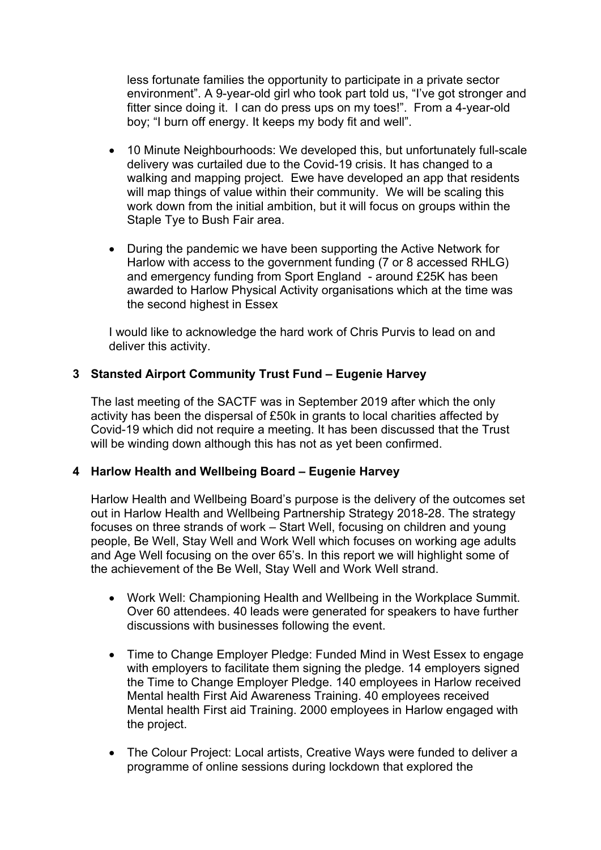less fortunate families the opportunity to participate in a private sector environment". A 9-year-old girl who took part told us, "I've got stronger and fitter since doing it. I can do press ups on my toes!". From a 4-year-old boy; "I burn off energy. It keeps my body fit and well".

- 10 Minute Neighbourhoods: We developed this, but unfortunately full-scale delivery was curtailed due to the Covid-19 crisis. It has changed to a walking and mapping project. Ewe have developed an app that residents will map things of value within their community. We will be scaling this work down from the initial ambition, but it will focus on groups within the Staple Tye to Bush Fair area.
- During the pandemic we have been supporting the Active Network for Harlow with access to the government funding (7 or 8 accessed RHLG) and emergency funding from Sport England - around £25K has been awarded to Harlow Physical Activity organisations which at the time was the second highest in Essex

I would like to acknowledge the hard work of Chris Purvis to lead on and deliver this activity.

#### **3 Stansted Airport Community Trust Fund – Eugenie Harvey**

The last meeting of the SACTF was in September 2019 after which the only activity has been the dispersal of £50k in grants to local charities affected by Covid-19 which did not require a meeting. It has been discussed that the Trust will be winding down although this has not as yet been confirmed.

#### **4 Harlow Health and Wellbeing Board – Eugenie Harvey**

Harlow Health and Wellbeing Board's purpose is the delivery of the outcomes set out in Harlow Health and Wellbeing Partnership Strategy 2018-28. The strategy focuses on three strands of work – Start Well, focusing on children and young people, Be Well, Stay Well and Work Well which focuses on working age adults and Age Well focusing on the over 65's. In this report we will highlight some of the achievement of the Be Well, Stay Well and Work Well strand.

- Work Well: Championing Health and Wellbeing in the Workplace Summit. Over 60 attendees. 40 leads were generated for speakers to have further discussions with businesses following the event.
- Time to Change Employer Pledge: Funded Mind in West Essex to engage with employers to facilitate them signing the pledge. 14 employers signed the Time to Change Employer Pledge. 140 employees in Harlow received Mental health First Aid Awareness Training. 40 employees received Mental health First aid Training. 2000 employees in Harlow engaged with the project.
- The Colour Project: Local artists, Creative Ways were funded to deliver a programme of online sessions during lockdown that explored the